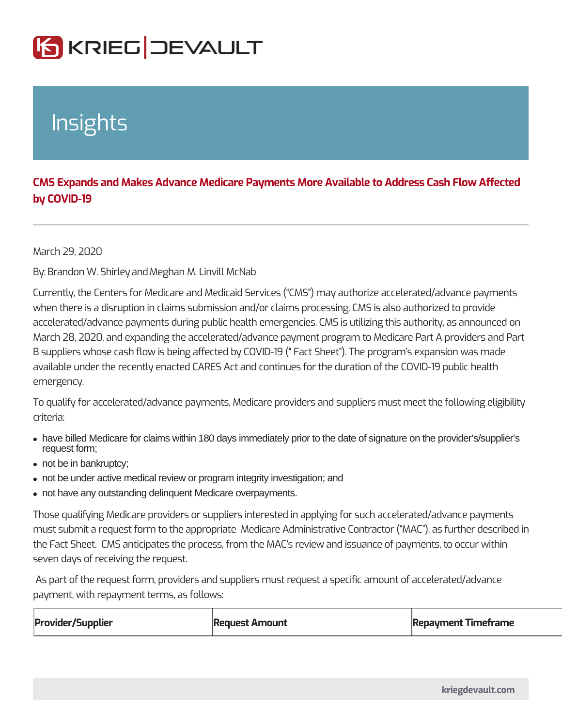## Insights

CMS Expands and Makes Advance Medicare Payments More Available to A by COVID-19

March 29, 2020

ByBrandon W. Sahin Meghan M. Linvill McNab

Currently, the Centers for Medicare and Medicaid Services (CMS) may authorize when there is a disruption in claims submission and/or claims processing. CMS is accelerated/advance payments during public health emergencies. CMS is utilizing March 28, 2020, and expanding the accelerated/advance payment program to Med B suppliers whose cash flow is being affected by COVID-19 ( Fact Sheet ). The  $\vert$ available under the recently enacted CARES Act and continues for the duration o emergency.

To qualify for accelerated/advance payments, Medicare providers and suppliers n criteria:

- have billed Medicare for claims within 180 days immediately prior to the date of signature on the provider's/supplier's request form;
- not be in bankruptcy;
- not be under active medical review or program integrity investigation; and
- not have any outstanding delinquent Medicare overpayments.

Those qualifying Medicare providers or suppliers interested in applying for such must submit a request form to the appropriate Medicare Administrative Contractor the Fact Sheet. CMS anticipates the process, from the MAC s review and issuan seven days of receiving the request.

As part of the request form, providers and suppliers must request a specific amount of payment, with repayment terms, as follows:

| Provider/Supplier | Request Amount | Repayment Timeframe |
|-------------------|----------------|---------------------|
|-------------------|----------------|---------------------|